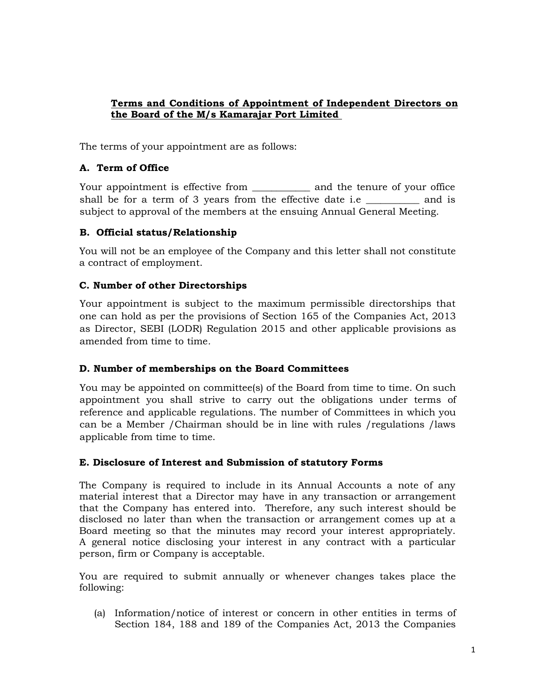### **Terms and Conditions of Appointment of Independent Directors on the Board of the M/s Kamarajar Port Limited**

The terms of your appointment are as follows:

### **A. Term of Office**

Your appointment is effective from \_\_\_\_\_\_\_\_\_\_\_\_\_ and the tenure of your office shall be for a term of 3 years from the effective date i.e and is subject to approval of the members at the ensuing Annual General Meeting.

### **B. Official status/Relationship**

You will not be an employee of the Company and this letter shall not constitute a contract of employment.

### **C. Number of other Directorships**

Your appointment is subject to the maximum permissible directorships that one can hold as per the provisions of Section 165 of the Companies Act, 2013 as Director, SEBI (LODR) Regulation 2015 and other applicable provisions as amended from time to time*.*

### **D. Number of memberships on the Board Committees**

You may be appointed on committee(s) of the Board from time to time. On such appointment you shall strive to carry out the obligations under terms of reference and applicable regulations. The number of Committees in which you can be a Member /Chairman should be in line with rules /regulations /laws applicable from time to time.

### **E. Disclosure of Interest and Submission of statutory Forms**

The Company is required to include in its Annual Accounts a note of any material interest that a Director may have in any transaction or arrangement that the Company has entered into. Therefore, any such interest should be disclosed no later than when the transaction or arrangement comes up at a Board meeting so that the minutes may record your interest appropriately. A general notice disclosing your interest in any contract with a particular person, firm or Company is acceptable.

You are required to submit annually or whenever changes takes place the following:

(a) Information/notice of interest or concern in other entities in terms of Section 184, 188 and 189 of the Companies Act, 2013 the Companies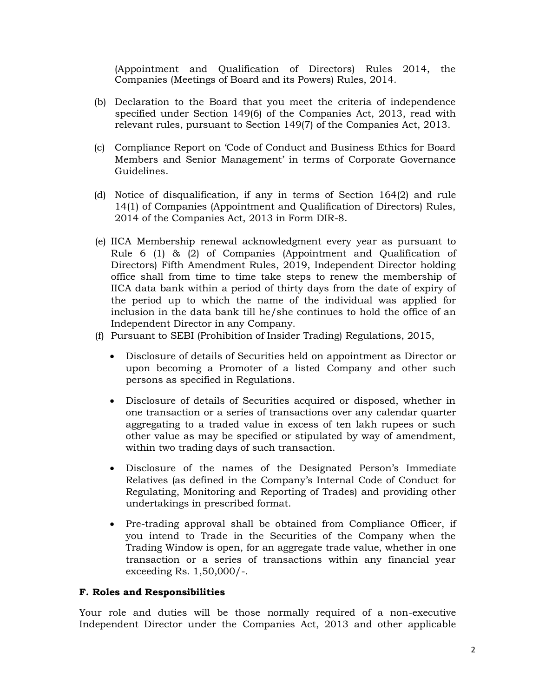(Appointment and Qualification of Directors) Rules 2014, the Companies (Meetings of Board and its Powers) Rules, 2014.

- (b) Declaration to the Board that you meet the criteria of independence specified under Section 149(6) of the Companies Act, 2013, read with relevant rules, pursuant to Section 149(7) of the Companies Act, 2013.
- (c) Compliance Report on 'Code of Conduct and Business Ethics for Board Members and Senior Management' in terms of Corporate Governance Guidelines.
- (d) Notice of disqualification, if any in terms of Section 164(2) and rule 14(1) of Companies (Appointment and Qualification of Directors) Rules, 2014 of the Companies Act, 2013 in Form DIR-8.
- (e) IICA Membership renewal acknowledgment every year as pursuant to Rule 6 (1) & (2) of Companies (Appointment and Qualification of Directors) Fifth Amendment Rules, 2019, Independent Director holding office shall from time to time take steps to renew the membership of IICA data bank within a period of thirty days from the date of expiry of the period up to which the name of the individual was applied for inclusion in the data bank till he/she continues to hold the office of an Independent Director in any Company.
- (f) Pursuant to SEBI (Prohibition of Insider Trading) Regulations, 2015,
	- Disclosure of details of Securities held on appointment as Director or upon becoming a Promoter of a listed Company and other such persons as specified in Regulations.
	- Disclosure of details of Securities acquired or disposed, whether in one transaction or a series of transactions over any calendar quarter aggregating to a traded value in excess of ten lakh rupees or such other value as may be specified or stipulated by way of amendment, within two trading days of such transaction.
	- Disclosure of the names of the Designated Person's Immediate Relatives (as defined in the Company's Internal Code of Conduct for Regulating, Monitoring and Reporting of Trades) and providing other undertakings in prescribed format.
	- Pre-trading approval shall be obtained from Compliance Officer, if you intend to Trade in the Securities of the Company when the Trading Window is open, for an aggregate trade value, whether in one transaction or a series of transactions within any financial year exceeding Rs. 1,50,000/-.

#### **F. Roles and Responsibilities**

Your role and duties will be those normally required of a non-executive Independent Director under the Companies Act, 2013 and other applicable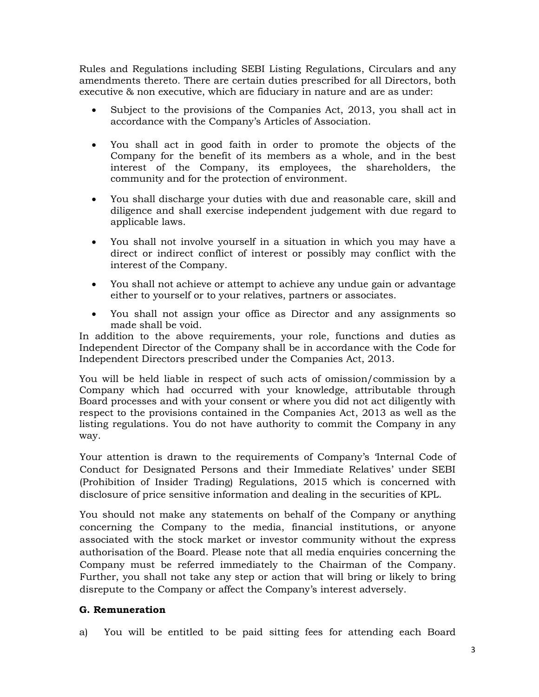Rules and Regulations including SEBI Listing Regulations, Circulars and any amendments thereto. There are certain duties prescribed for all Directors, both executive & non executive, which are fiduciary in nature and are as under:

- Subject to the provisions of the Companies Act, 2013, you shall act in accordance with the Company's Articles of Association.
- You shall act in good faith in order to promote the objects of the Company for the benefit of its members as a whole, and in the best interest of the Company, its employees, the shareholders, the community and for the protection of environment.
- You shall discharge your duties with due and reasonable care, skill and diligence and shall exercise independent judgement with due regard to applicable laws.
- You shall not involve yourself in a situation in which you may have a direct or indirect conflict of interest or possibly may conflict with the interest of the Company.
- You shall not achieve or attempt to achieve any undue gain or advantage either to yourself or to your relatives, partners or associates.
- You shall not assign your office as Director and any assignments so made shall be void.

In addition to the above requirements, your role, functions and duties as Independent Director of the Company shall be in accordance with the Code for Independent Directors prescribed under the Companies Act, 2013.

You will be held liable in respect of such acts of omission/commission by a Company which had occurred with your knowledge, attributable through Board processes and with your consent or where you did not act diligently with respect to the provisions contained in the Companies Act, 2013 as well as the listing regulations. You do not have authority to commit the Company in any way.

Your attention is drawn to the requirements of Company's 'Internal Code of Conduct for Designated Persons and their Immediate Relatives' under SEBI (Prohibition of Insider Trading) Regulations, 2015 which is concerned with disclosure of price sensitive information and dealing in the securities of KPL.

You should not make any statements on behalf of the Company or anything concerning the Company to the media, financial institutions, or anyone associated with the stock market or investor community without the express authorisation of the Board. Please note that all media enquiries concerning the Company must be referred immediately to the Chairman of the Company. Further, you shall not take any step or action that will bring or likely to bring disrepute to the Company or affect the Company's interest adversely.

## **G. Remuneration**

a) You will be entitled to be paid sitting fees for attending each Board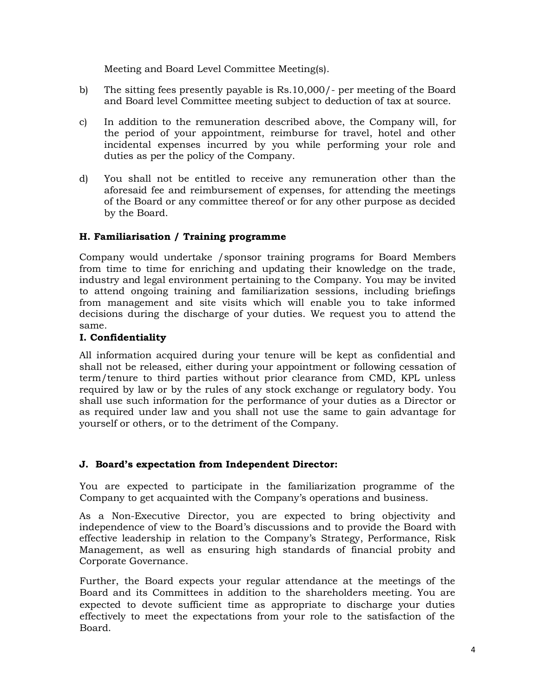Meeting and Board Level Committee Meeting(s).

- b) The sitting fees presently payable is Rs.10,000/- per meeting of the Board and Board level Committee meeting subject to deduction of tax at source.
- c) In addition to the remuneration described above, the Company will, for the period of your appointment, reimburse for travel, hotel and other incidental expenses incurred by you while performing your role and duties as per the policy of the Company.
- d) You shall not be entitled to receive any remuneration other than the aforesaid fee and reimbursement of expenses, for attending the meetings of the Board or any committee thereof or for any other purpose as decided by the Board.

### **H. Familiarisation / Training programme**

Company would undertake /sponsor training programs for Board Members from time to time for enriching and updating their knowledge on the trade, industry and legal environment pertaining to the Company. You may be invited to attend ongoing training and familiarization sessions, including briefings from management and site visits which will enable you to take informed decisions during the discharge of your duties. We request you to attend the same.

### **I. Confidentiality**

All information acquired during your tenure will be kept as confidential and shall not be released, either during your appointment or following cessation of term/tenure to third parties without prior clearance from CMD, KPL unless required by law or by the rules of any stock exchange or regulatory body. You shall use such information for the performance of your duties as a Director or as required under law and you shall not use the same to gain advantage for yourself or others, or to the detriment of the Company.

## **J. Board's expectation from Independent Director:**

You are expected to participate in the familiarization programme of the Company to get acquainted with the Company's operations and business.

As a Non-Executive Director, you are expected to bring objectivity and independence of view to the Board's discussions and to provide the Board with effective leadership in relation to the Company's Strategy, Performance, Risk Management, as well as ensuring high standards of financial probity and Corporate Governance.

Further, the Board expects your regular attendance at the meetings of the Board and its Committees in addition to the shareholders meeting. You are expected to devote sufficient time as appropriate to discharge your duties effectively to meet the expectations from your role to the satisfaction of the Board.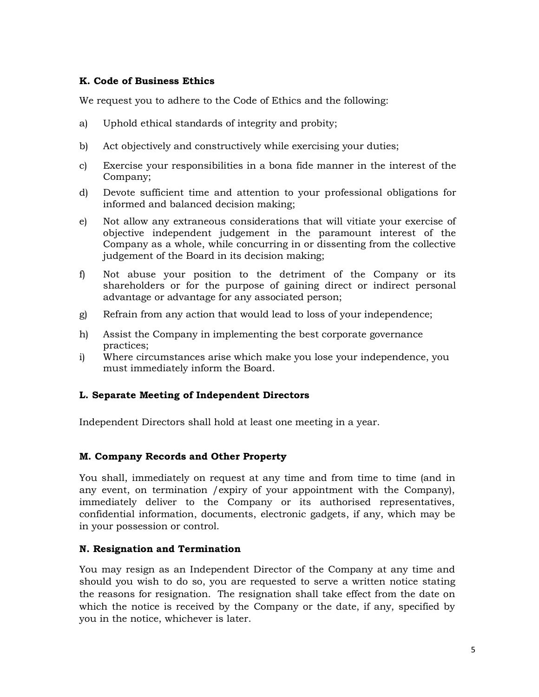#### **K. Code of Business Ethics**

We request you to adhere to the Code of Ethics and the following:

- a) Uphold ethical standards of integrity and probity;
- b) Act objectively and constructively while exercising your duties;
- c) Exercise your responsibilities in a bona fide manner in the interest of the Company;
- d) Devote sufficient time and attention to your professional obligations for informed and balanced decision making;
- e) Not allow any extraneous considerations that will vitiate your exercise of objective independent judgement in the paramount interest of the Company as a whole, while concurring in or dissenting from the collective judgement of the Board in its decision making;
- f) Not abuse your position to the detriment of the Company or its shareholders or for the purpose of gaining direct or indirect personal advantage or advantage for any associated person;
- g) Refrain from any action that would lead to loss of your independence;
- h) Assist the Company in implementing the best corporate governance practices;
- i) Where circumstances arise which make you lose your independence, you must immediately inform the Board.

### **L. Separate Meeting of Independent Directors**

Independent Directors shall hold at least one meeting in a year.

### **M. Company Records and Other Property**

You shall, immediately on request at any time and from time to time (and in any event, on termination /expiry of your appointment with the Company), immediately deliver to the Company or its authorised representatives, confidential information, documents, electronic gadgets, if any, which may be in your possession or control.

### **N. Resignation and Termination**

You may resign as an Independent Director of the Company at any time and should you wish to do so, you are requested to serve a written notice stating the reasons for resignation. The resignation shall take effect from the date on which the notice is received by the Company or the date, if any, specified by you in the notice, whichever is later.